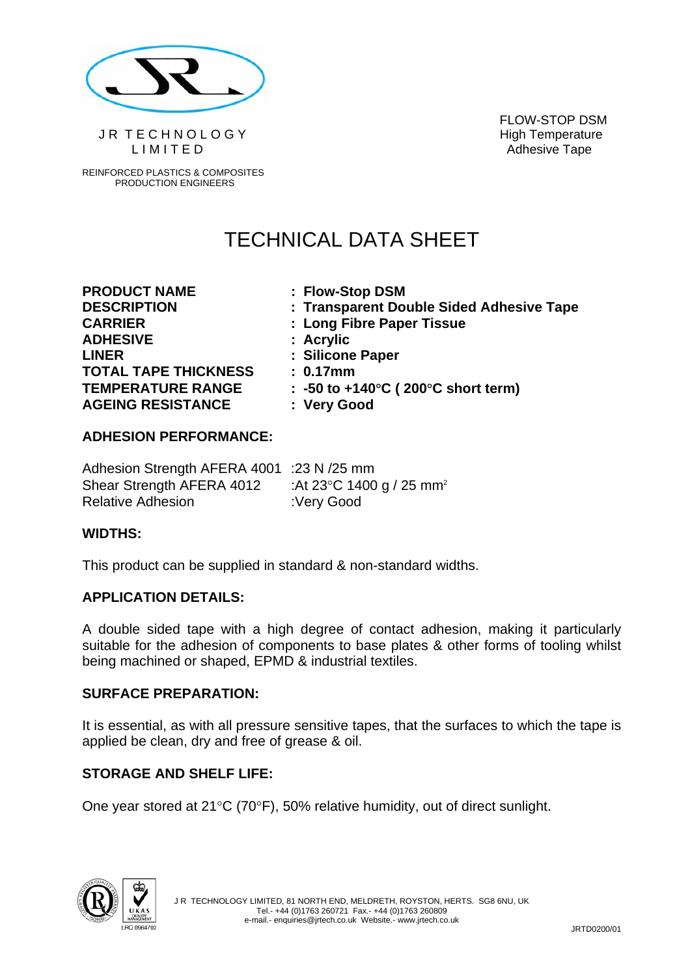

JR TECHNOLOGY High Temperature LIMITED Adhesive Tape

REINFORCED PLASTICS & COMPOSITES PRODUCTION ENGINEERS

FLOW-STOP DSM

# TECHNICAL DATA SHEET

**PRODUCT NAME : Flow-Stop DSM CARRIER : Long Fibre Paper Tissue ADHESIVE : Acrylic LINER : Silicone Paper TOTAL TAPE THICKNESS : 0.17mm AGEING RESISTANCE : Very Good** 

**DESCRIPTION : Transparent Double Sided Adhesive Tape** 

**TEMPERATURE RANGE : -50 to +140**°**C ( 200**°**C short term)** 

## **ADHESION PERFORMANCE:**

| Adhesion Strength AFERA 4001 :23 N /25 mm |                                                |
|-------------------------------------------|------------------------------------------------|
| Shear Strength AFERA 4012                 | :At 23 $\degree$ C 1400 g / 25 mm <sup>2</sup> |
| <b>Relative Adhesion</b>                  | :Very Good                                     |

### **WIDTHS:**

This product can be supplied in standard & non-standard widths.

### **APPLICATION DETAILS:**

A double sided tape with a high degree of contact adhesion, making it particularly suitable for the adhesion of components to base plates & other forms of tooling whilst being machined or shaped, EPMD & industrial textiles.

### **SURFACE PREPARATION:**

It is essential, as with all pressure sensitive tapes, that the surfaces to which the tape is applied be clean, dry and free of grease & oil.

### **STORAGE AND SHELF LIFE:**

One year stored at 21°C (70°F), 50% relative humidity, out of direct sunlight.

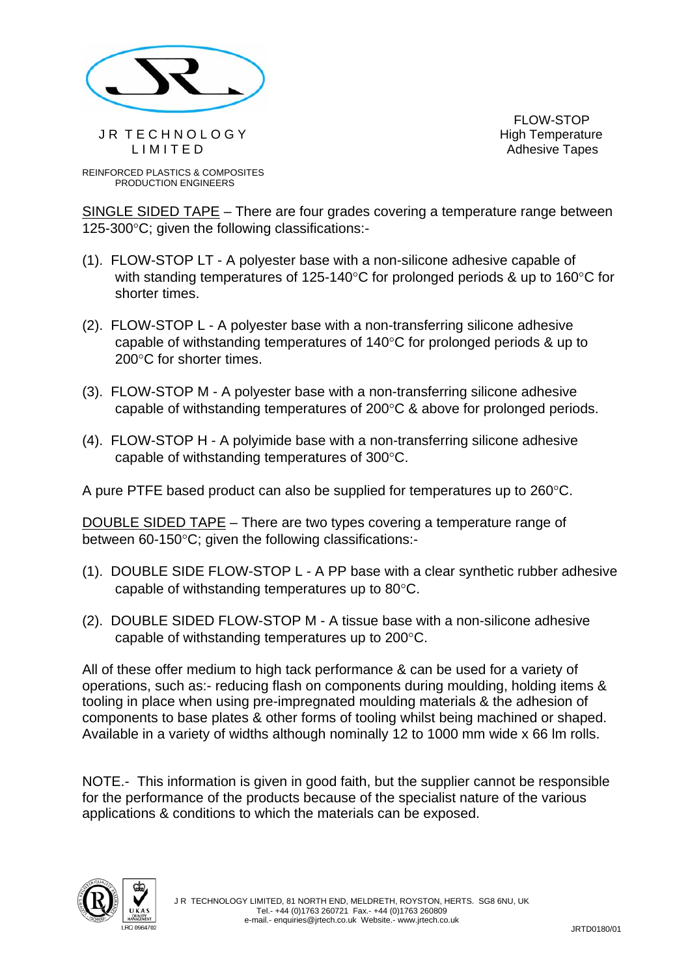

JR TECHNOLOGY High Temperature LIMITED **Adhesive Tapes** 

FLOW-STOP

REINFORCED PLASTICS & COMPOSITES PRODUCTION ENGINEERS

SINGLE SIDED TAPE – There are four grades covering a temperature range between 125-300°C; given the following classifications:-

- (1). FLOW-STOP LT A polyester base with a non-silicone adhesive capable of with standing temperatures of 125-140°C for prolonged periods & up to 160°C for shorter times.
- (2). FLOW-STOP L A polyester base with a non-transferring silicone adhesive capable of withstanding temperatures of 140°C for prolonged periods & up to 200°C for shorter times.
- (3). FLOW-STOP M A polyester base with a non-transferring silicone adhesive capable of withstanding temperatures of 200°C & above for prolonged periods.
- (4). FLOW-STOP H A polyimide base with a non-transferring silicone adhesive capable of withstanding temperatures of 300°C.

A pure PTFE based product can also be supplied for temperatures up to 260°C.

DOUBLE SIDED TAPE – There are two types covering a temperature range of between 60-150°C; given the following classifications:-

- (1). DOUBLE SIDE FLOW-STOP L A PP base with a clear synthetic rubber adhesive capable of withstanding temperatures up to 80°C.
- (2). DOUBLE SIDED FLOW-STOP M A tissue base with a non-silicone adhesive capable of withstanding temperatures up to 200°C.

All of these offer medium to high tack performance & can be used for a variety of operations, such as:- reducing flash on components during moulding, holding items & tooling in place when using pre-impregnated moulding materials & the adhesion of components to base plates & other forms of tooling whilst being machined or shaped. Available in a variety of widths although nominally 12 to 1000 mm wide x 66 lm rolls.

NOTE.- This information is given in good faith, but the supplier cannot be responsible for the performance of the products because of the specialist nature of the various applications & conditions to which the materials can be exposed.